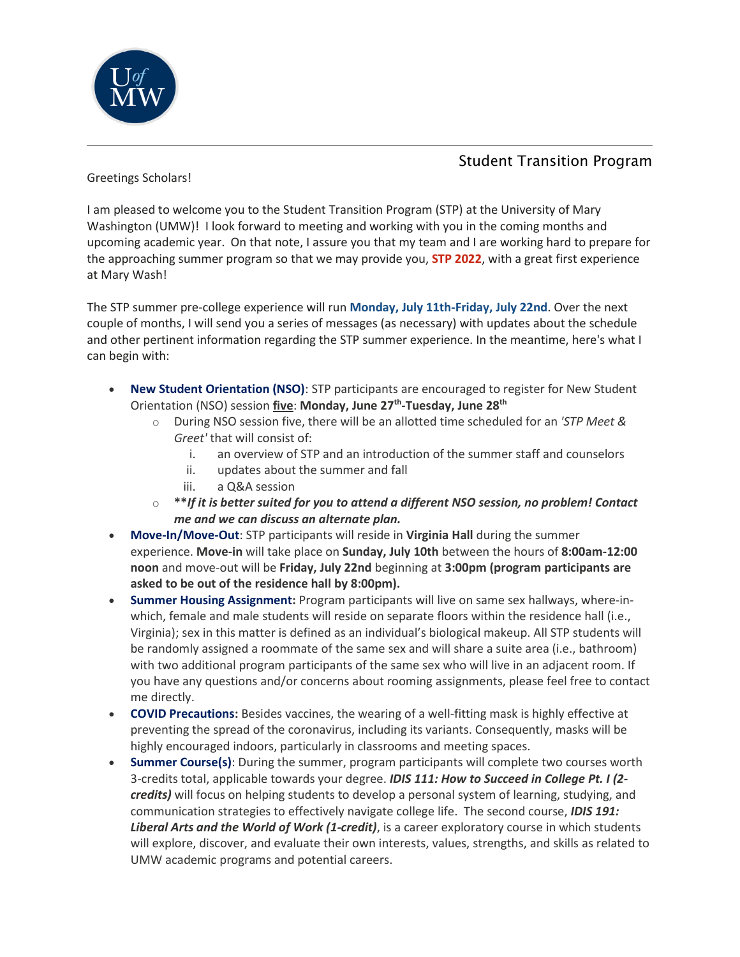

## Student Transition Program

Greetings Scholars!

I am pleased to welcome you to the Student Transition Program (STP) at the University of Mary Washington (UMW)! I look forward to meeting and working with you in the coming months and upcoming academic year. On that note, I assure you that my team and I are working hard to prepare for the approaching summer program so that we may provide you, **STP 2022**, with a great first experience at Mary Wash!

The STP summer pre-college experience will run **Monday, July 11th-Friday, July 22nd**. Over the next couple of months, I will send you a series of messages (as necessary) with updates about the schedule and other pertinent information regarding the STP summer experience. In the meantime, here's what I can begin with:

- **New Student Orientation (NSO)**: STP participants are encouraged to register for New Student Orientation (NSO) session **five**: **Monday, June 27 th -Tuesday, June 28th**
	- o During NSO session five, there will be an allotted time scheduled for an *'STP Meet & Greet'* that will consist of:
		- i. an overview of STP and an introduction of the summer staff and counselors
		- ii. updates about the summer and fall
		- iii. a Q&A session
	- o **\*\****If it is better suited for you to attend a different NSO session, no problem! Contact me and we can discuss an alternate plan.*
- **Move-In/Move-Out**: STP participants will reside in **Virginia Hall** during the summer experience. **Move-in** will take place on **Sunday, July 10th** between the hours of **8:00am-12:00 noon** and move-out will be **Friday, July 22nd** beginning at **3:00pm (program participants are asked to be out of the residence hall by 8:00pm).**
- **Summer Housing Assignment:** Program participants will live on same sex hallways, where-inwhich, female and male students will reside on separate floors within the residence hall (i.e., Virginia); sex in this matter is defined as an individual's biological makeup. All STP students will be randomly assigned a roommate of the same sex and will share a suite area (i.e., bathroom) with two additional program participants of the same sex who will live in an adjacent room. If you have any questions and/or concerns about rooming assignments, please feel free to contact me directly.
- **COVID Precautions:** Besides vaccines, the wearing of a well-fitting mask is highly effective at preventing the spread of the coronavirus, including its variants. Consequently, masks will be highly encouraged indoors, particularly in classrooms and meeting spaces.
- **Summer Course(s)**: During the summer, program participants will complete two courses worth 3-credits total, applicable towards your degree. *IDIS 111: How to Succeed in College Pt. I (2 credits)* will focus on helping students to develop a personal system of learning, studying, and communication strategies to effectively navigate college life. The second course, *IDIS 191: Liberal Arts and the World of Work (1-credit)*, is a career exploratory course in which students will explore, discover, and evaluate their own interests, values, strengths, and skills as related to UMW academic programs and potential careers.